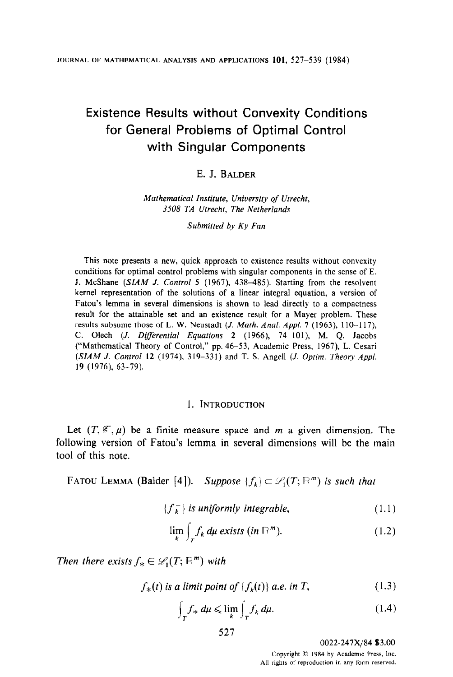# Existence Results without Convexity Conditions for General Problems of Optimal Control with Singular Components

## E.J. BALDER

### Mathematical Institute, University of Utrecht, 3508 TA Utrecht, The Netherlands

Submitted by Ky Fan

This note presents a new, quick approach to existence results without convexity conditions for optimal control problems with singular components in the sense of E. J. McShane (SIAM J. Control 5 (1967), 438-485). Starting from the resolvent kernel representation of the solutions of a linear integral equation, a version of Fatou's lemma in several dimensions is shown to lead directly to a compactness result for the attainable set and an existence result for a Mayer problem. These results subsume those of L. W. Neustadt  $(J. Math. Anal. Appl. 7 (1963), 110-117)$ , C. Olech (J. Differential Equations 2 (1966), 74-101), M. O. Jacobs ("Mathematical Theory of Control," pp. 46-53, Academic Press, 1967), L. Cesari  $(SIAM J. Control 12 (1974), 319-331)$  and T. S. Angell  $(J. Optim. Theory Appl.$ 19 (1976), 63-79).

## 1. INTRODUCTION

Let  $(T, \mathscr{E}, \mu)$  be a finite measure space and m a given dimension. The following version of Fatou's lemma in several dimensions will be the main tool of this note.

FATOU LEMMA (Balder [4]). Suppose  $\{f_k\} \subset \mathcal{L}_1(T; \mathbb{R}^m)$  is such that

$$
\{f_k^-\}\ is\ uniformly\ integrable,\tag{1.1}
$$

$$
\lim_{k} \int_{T} f_{k} d\mu \; exists \; (in \mathbb{R}^{m}). \tag{1.2}
$$

Then there exists  $f_* \in \mathscr{L}_1(T; \mathbb{R}^m)$  with

$$
f_{*}(t) \text{ is a limit point of } \{f_{k}(t)\} \text{ a.e. in } T,
$$
 (1.3)

$$
\int_{T} f_{*} d\mu \leqslant \lim_{k} \int_{T} f_{k} d\mu. \tag{1.4}
$$

0022-247X/84 \$3.00

Copyright C 1984 by Academic Press, Inc. All rights of reproduction in any form reserved.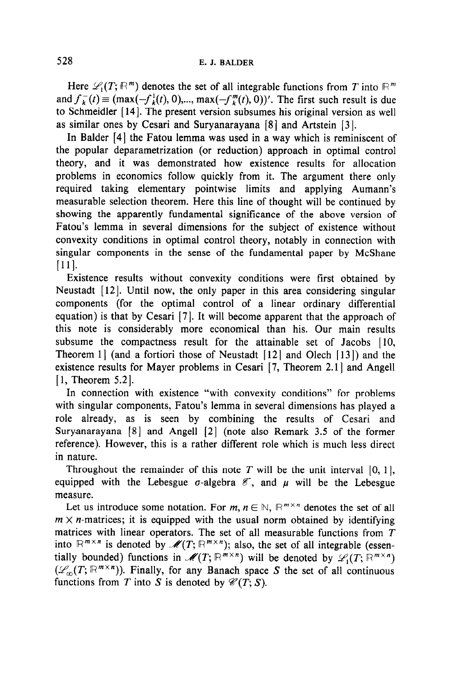Here  $\mathscr{L}_1(T; \mathbb{R}^m)$  denotes the set of all integrable functions from T into  $\mathbb{R}^m$ and  $f_k^-(t) \equiv (\max(-f_k^1(t), 0), \dots, \max(-f_k^m(t), 0))'$ . The first such result is due to Schmeidler [14]. The present version subsumes his original version as well as similar ones by Cesari and Suryanarayana [8] and Artstein [3].

In Balder [4] the Fatou lemma was used in a way which is reminiscent of the popular deparametrization (or reduction) approach in optimal control theory, and it was demonstrated how existence results for allocation problems in economics follow quickly from it. The argument there only required taking elementary pointwise limits and applying Aumann's measurable selection theorem. Here this line of thought will be continued by showing the apparently fundamental significance of the above version of Fatou's lemma in several dimensions for the subject of existence without convexity conditions in optimal control theory, notably in connection with singular components in the sense of the fundamental paper by McShane [Ill.

Existence results without convexity conditions were first obtained by Neustadt  $[12]$ . Until now, the only paper in this area considering singular components (for the optimal control of a linear ordinary differential equation) is that by Cesari [7]. It will become apparent that the approach of this note is considerably more economical than his. Our main results subsume the compactness result for the attainable set of Jacobs [10, Theorem 1 | (and a fortiori those of Neustadt  $[12]$  and Olech  $[13]$ ) and the existence results for Mayer problems in Cesari [7, Theorem 2.1] and Angell [1, Theorem 5.2].

In connection with existence "with convexity conditions" for problems with singular components, Fatou's lemma in several dimensions has played a role already, as is seen by combining the results of Cesari and Suryanarayana [8] and Angel1 [2] (note also Remark 3.5 of the former reference). However, this is a rather different role which is much less direct in nature.

Throughout the remainder of this note T will be the unit interval  $[0, 1]$ , equipped with the Lebesgue  $\sigma$ -algebra  $\epsilon$ , and  $\mu$  will be the Lebesgue measure.

Let us introduce some notation. For  $m, n \in \mathbb{N}$ ,  $\mathbb{R}^{m \times n}$  denotes the set of all  $m \times n$ -matrices; it is equipped with the usual norm obtained by identifying matrices with linear operators. The set of all measurable functions from  $T$ into  $\mathbb{R}^{m \times n}$  is denoted by  $\mathscr{M}(T; \mathbb{R}^{m \times n})$ ; also, the set of all integrable (essentially bounded) functions in  $\mathcal{M}(T; \mathbb{R}^{m \times n})$  will be denoted by  $\mathcal{L}_1(T; \mathbb{R}^{m \times n})$  $(\mathscr{L}_\infty(T; \mathbb{R}^{m \times n}))$ . Finally, for any Banach space S the set of all continuous functions from T into S is denoted by  $\mathcal{C}(T; S)$ .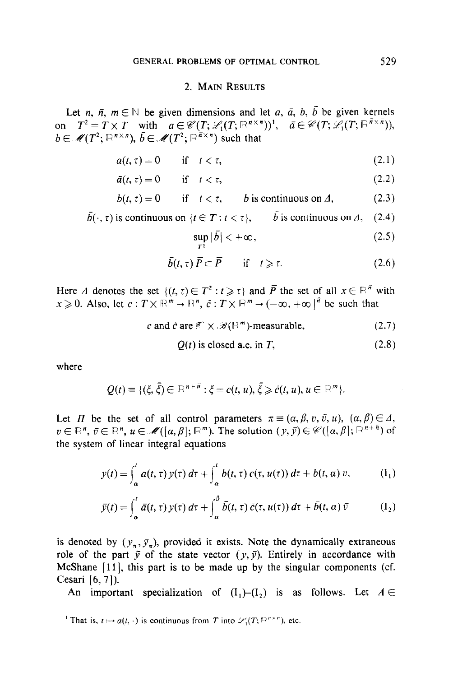## 2. MAIN RESULTS

Let *n*,  $\bar{n}$ ,  $m \in \mathbb{N}$  be given dimensions and let *a*,  $\bar{a}$ , *b*, *b* be given kernels on  $T^2 \equiv T \times T$  with  $a \in \mathcal{C}(T;\mathcal{L}_1(T;\mathbb{R}^{n \times n}))^1$ ,  $\bar{a} \in \mathcal{C}(T;\mathcal{L}_1(T;\mathbb{R}^{n \times n}))$ ,  $b \in \mathscr{M}(T^2; \mathbb{R}^{n \times n})$ ,  $\overline{b} \in \mathscr{M}(T^2; \mathbb{R}^{\overline{n} \times n})$  such that

$$
a(t,\tau) = 0 \qquad \text{if} \quad t < \tau,\tag{2.1}
$$

$$
\bar{a}(t,\tau) = 0 \qquad \text{if} \quad t < \tau,\tag{2.2}
$$

$$
b(t, \tau) = 0 \quad \text{if} \quad t < \tau, \quad b \text{ is continuous on } \Lambda, \tag{2.3}
$$

$$
\bar{b}(\cdot, \tau)
$$
 is continuous on  $\{t \in T : t < \tau\}$ , *b* is continuous on  $\Delta$ , (2.4)

$$
\sup_{T^2} |\bar{b}| < +\infty, \tag{2.5}
$$

$$
\bar{b}(t,\tau)\,\bar{P}\subset\bar{P}\qquad\text{if}\quad t\geqslant\tau.\tag{2.6}
$$

Here  $\Delta$  denotes the set  $\{(t, \tau) \in T^2 : t \geq \tau\}$  and  $\overline{P}$  the set of all  $x \in \mathbb{R}^{\overline{n}}$  with  $x\geqslant0$ . Also, let  $c:T\times\mathbb{R}^m\to\mathbb{R}^n, \bar{c}:T\times\mathbb{R}^m\to(-\infty,+\infty)^{\bar{n}}$  be such that

$$
c \text{ and } \tilde{c} \text{ are } \mathscr{E} \times \mathscr{B}(\mathbb{R}^m) \text{-measurable}, \tag{2.7}
$$

$$
Q(t) \text{ is closed a.e. in } T,
$$
\n(2.8)

where

$$
Q(t) \equiv \{(\xi, \bar{\xi}) \in \mathbb{R}^{n+\bar{n}} : \xi = c(t, u), \bar{\xi} \geqslant \tilde{c}(t, u), u \in \mathbb{R}^m\}.
$$

Let  $\Pi$  be the set of all control parameters  $\pi \equiv (\alpha, \beta, v, \bar{v}, u), (\alpha, \beta) \in \Delta$ ,  $v \in \mathbb{R}^n$ ,  $\bar{v} \in \mathbb{R}^n$ ,  $u \in \mathcal{M}(\lbrack a,\beta \rbrack;\mathbb{R}^m)$ . The solution  $(y,\bar{y}) \in \mathcal{C}(\lbrack a,\beta \rbrack;\mathbb{R}^{n+\bar{n}})$  of the system of linear integral equations

$$
y(t) = \int_{\alpha}^{t} a(t, \tau) y(\tau) d\tau + \int_{\alpha}^{t} b(t, \tau) c(\tau, u(\tau)) d\tau + b(t, \alpha) v, \qquad (I_1)
$$

$$
\bar{y}(t) = \int_{\alpha}^{t} \bar{a}(t,\tau) y(\tau) d\tau + \int_{\alpha}^{\beta} \bar{b}(t,\tau) \bar{c}(\tau, u(\tau)) d\tau + \bar{b}(t,\alpha) \bar{v} \qquad (I_2)
$$

is denoted by  $(y_*, \bar{y}_*)$ , provided it exists. Note the dynamically extraneous role of the part  $\bar{y}$  of the state vector  $(y, \bar{y})$ . Entirely in accordance with McShane  $[11]$ , this part is to be made up by the singular components (cf. Cesari [6, 7]).

An important specialization of  $(I_1)$ - $(I_2)$  is as follows. Let  $A \in$ 

That is,  $t \mapsto a(t, \cdot)$  is continuous from T into  $\mathscr{L}_1(T; \mathbb{R}^{n \times n})$ , etc.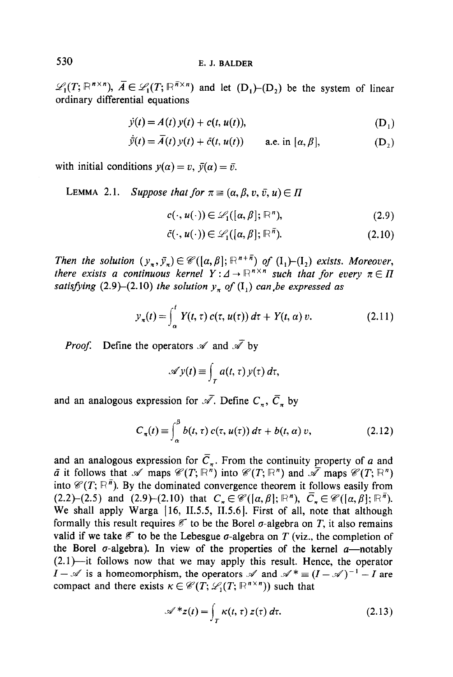$\mathscr{L}_1(T; \mathbb{R}^{n \times n})$ ,  $\overline{A} \in \mathscr{L}_1(T; \mathbb{R}^{n \times n})$  and let  $(D_1)$ - $(D_2)$  be the system of linear ordinary differential equations

$$
\dot{y}(t) = A(t) y(t) + c(t, u(t)), \tag{D_1}
$$

$$
\bar{y}(t) = A(t) y(t) + \bar{c}(t, u(t)) \qquad \text{a.e. in } [\alpha, \beta], \tag{D_2}
$$

with initial conditions  $y(\alpha) = v$ ,  $\bar{y}(\alpha) = \bar{v}$ .

LEMMA 2.1. Suppose that for 
$$
\pi \equiv (\alpha, \beta, v, \bar{v}, u) \in \Pi
$$

$$
c(\cdot, u(\cdot)) \in \mathscr{L}_1([a,\beta]; \mathbb{R}^n), \tag{2.9}
$$

$$
\bar{c}(\cdot, u(\cdot)) \in \mathscr{L}_1([\alpha, \beta]; \mathbb{R}^{\bar{n}}). \tag{2.10}
$$

Then the solution  $(y_{\pi},\bar{y}_{\pi}) \in \mathcal{C}([a,\beta];\mathbb{R}^{n+\bar{n}})$  of  $(I_1)$ - $(I_2)$  exists. Moreover, there exists a continuous kernel  $Y: A \to \mathbb{R}^{n \times n}$  such that for every  $\pi \in \Pi$ satisfying  $(2.9)$ - $(2.10)$  the solution  $y<sub>\pi</sub>$  of  $(I<sub>1</sub>)$  can, be expressed as

$$
y_{\pi}(t) = \int_{\alpha}^{t} Y(t, \tau) c(\tau, u(\tau)) d\tau + Y(t, \alpha) v.
$$
 (2.11)

*Proof.* Define the operators  $\mathscr A$  and  $\bar{\mathscr A}$  by

$$
\mathscr{A} y(t) \equiv \int_T a(t,\tau) y(\tau) d\tau,
$$

and an analogous expression for  $\overline{\mathscr{A}}$ . Define  $C_{\pi}$ ,  $\overline{C}_{\pi}$  by

$$
C_{\pi}(t) \equiv \int_{\alpha}^{\beta} b(t, \tau) c(\tau, u(\tau)) d\tau + b(t, \alpha) v,
$$
 (2.12)

and an analogous expression for  $\overline{C}_n$ . From the continuity property of a and  $\bar{a}$  it follows that  $\mathscr A$  maps  $\mathscr C(T; \mathbb R^n)$  into  $\mathscr C(T; \mathbb R^n)$  and  $\bar{\mathscr A}$  maps  $\mathscr C(T; \mathbb R^n)$ into  $\mathscr{C}(T; \mathbb{R}^n)$ . By the dominated convergence theorem it follows easily from (2.2)-(2.5) and (2.9)-(2.10) that  $C_{-} \in \mathcal{C}([a, \beta]; \mathbb{R}^{n})$ ,  $\overline{C}_{n} \in \mathcal{C}([a, \beta]; \mathbb{R}^{n})$ . We shall apply Warga [16, II.5.5, II.5.6]. First of all, note that although formally this result requires  $\mathcal E$  to be the Borel  $\sigma$ -algebra on T, it also remains valid if we take  $\mathscr E$  to be the Lebesgue  $\sigma$ -algebra on T (viz., the completion of the Borel  $\sigma$ -algebra). In view of the properties of the kernel  $\alpha$ -notably  $(2.1)$ —it follows now that we may apply this result. Hence, the operator  $I - \mathscr{A}$  is a homeomorphism, the operators  $\mathscr{A}$  and  $\mathscr{A}^* \equiv (I - \mathscr{A})^{-1} - I$  are compact and there exists  $\kappa \in \mathcal{C}(T; \mathcal{L}(T; \mathbb{R}^{n \times n}))$  such that

$$
\mathscr{A}^* z(t) = \int_T \kappa(t, \tau) z(\tau) d\tau.
$$
 (2.13)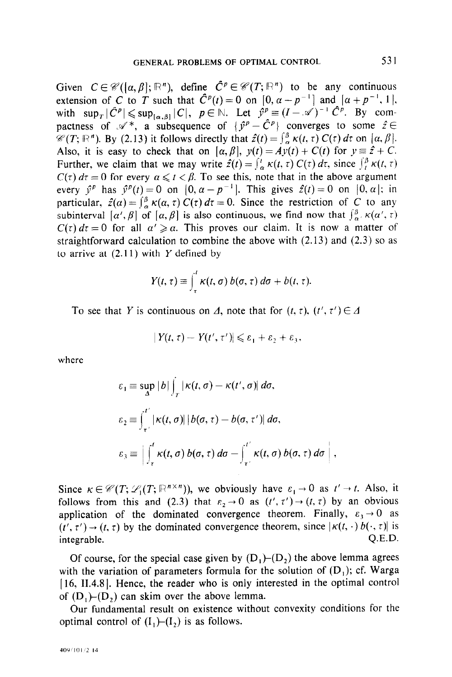Given  $C \in \mathcal{C}([\alpha, \beta]; \mathbb{R}^n)$ , define  $\hat{C}^p \in \mathcal{C}(T; \mathbb{R}^n)$  to be any continuous extension of C to T such that  $C<sup>p</sup>(t)=0$  on  $[0, \alpha -p^{-1}]$  and  $[\alpha +p^{-1}, 1]$ , with  $\sup_{T} |C^p| \leqslant \sup_{[a,b]} |C|, p \in \mathbb{N}$ . Let  $\hat{y}^p \equiv (I-\mathcal{A})^{-1} C^p$ . By compactness of  $\mathscr{A}^*$ , a subsequence of  $\{\hat{y}^p - \hat{C}^p\}$  converges to some  $\hat{z} \in$  $\mathscr{L}(T; \mathbb{R}^n)$ . By (2.13) it follows directly that  $\hat{z}(t) = \int_{\alpha}^{\beta} \kappa(t, \tau) C(\tau) d\tau$  on  $[\alpha, \beta]$ . Also, it is easy to check that on  $[\alpha, \beta]$ ,  $y(t) = Ay(t) + C(t)$  for  $y \equiv \hat{z} + C$ . Further, we claim that we may write  $\hat{z}(t) = \int_{\alpha}^{t} \kappa(t, \tau) C(\tau) d\tau$ , since  $\int_{t}^{\beta} \kappa(t, \tau)$  $C(\tau) d\tau = 0$  for every  $\alpha \leq t < \beta$ . To see this, note that in the above argument every  $\hat{y}^p$  has  $\hat{y}^p(t)=0$  on  $[0, \alpha - p^{-1}]$ . This gives  $\hat{z}(t)=0$  on  $[0, \alpha]$ ; in particular,  $\hat{z}(\alpha) = \int_{\alpha}^{\beta} \kappa(\alpha, \tau) C(\tau) d\tau = 0$ . Since the restriction of C to any subinterval  $[\alpha', \beta]$  of  $[\alpha, \beta]$  is also continuous, we find now that  $\int_{\alpha'}^{\beta} \kappa(\alpha', \tau)$  $C(\tau) d\tau = 0$  for all  $\alpha' \ge \alpha$ . This proves our claim. It is now a matter of straightforward calculation to combine the above with (2.13) and (2.3) so as to arrive at  $(2.11)$  with Y defined by

$$
Y(t,\tau)\equiv \int_{\tau}^{t} \kappa(t,\sigma)\,b(\sigma,\tau)\,d\sigma+b(t,\tau).
$$

To see that Y is continuous on  $\Delta$ , note that for  $(t, \tau)$ ,  $(t', \tau') \in \Delta$ 

$$
|Y(t,\tau)-Y(t',\tau')|\leqslant \varepsilon_1+\varepsilon_2+\varepsilon_3,
$$

where

$$
\varepsilon_1 \equiv \sup_{\Delta} |b| \int_{T} |\kappa(t, \sigma) - \kappa(t', \sigma)| d\sigma,
$$
  
\n
$$
\varepsilon_2 \equiv \int_{\tau'}^{\tau'} |\kappa(t, \sigma)| |b(\sigma, \tau) - b(\sigma, \tau')| d\sigma,
$$
  
\n
$$
\varepsilon_3 \equiv \left| \int_{\tau}^{\tau} \kappa(t, \sigma) b(\sigma, \tau) d\sigma - \int_{\tau'}^{\tau'} \kappa(t, \sigma) b(\sigma, \tau) d\sigma \right|,
$$

Since  $\kappa \in \mathcal{C}(T; \mathcal{L}_1(T; \mathbb{R}^{n \times n}))$ , we obviously have  $\varepsilon_1 \to 0$  as  $t' \to t$ . Also, it follows from this and (2.3) that  $\varepsilon_2 \to 0$  as  $(t', \tau') \to (t, \tau)$  by an obvious application of the dominated convergence theorem. Finally,  $\varepsilon_3 \rightarrow 0$  as  $(t', \tau') \rightarrow (t, \tau)$  by the dominated convergence theorem, since  $|\kappa(t, \cdot) b(\cdot, \tau)|$  is integrable. C.E.D. C.E.D. C.E.D. C.E.D. C.E.D. C.E.D. C.E.D. C.E.D. C.E.D. C.E.D. C.E.D. C.E.D. C.E.D. C.E.D.

Of course, for the special case given by  $(D_1)$ - $(D_2)$  the above lemma agrees with the variation of parameters formula for the solution of  $(D_1)$ ; cf. Warga  $[16, II.4.8]$ . Hence, the reader who is only interested in the optimal control of  $(D_1)$ - $(D_2)$  can skim over the above lemma.

Our fundamental result on existence without convexity conditions for the optimal control of  $(I_1)$ - $(I_2)$  is as follows.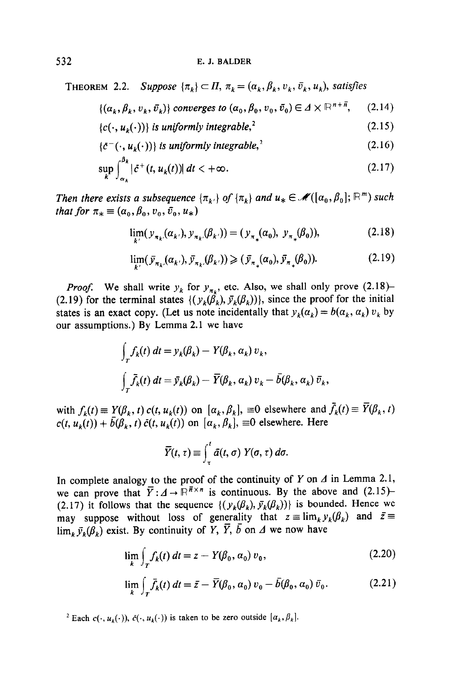### 532 E. J. BALDER

THEOREM 2.2. Suppose  $\{\pi_k\} \subset \Pi$ ,  $\pi_k = (\alpha_k, \beta_k, v_k, \bar{v}_k, u_k)$ , satisfies

$$
\{(\alpha_k, \beta_k, v_k, \bar{v}_k)\}\text{ converges to } (\alpha_0, \beta_0, v_0, \bar{v}_0) \in \Lambda \times \mathbb{R}^{n+\bar{n}},\qquad(2.14)
$$

$$
\{c(\cdot, u_k(\cdot))\} \text{ is uniformly integrable,}^2\tag{2.15}
$$

$$
\{\bar{c}^-(\cdot, u_k(\cdot))\} \text{ is uniformly integrable,}^2 \tag{2.16}
$$

$$
\sup_{k} \int_{\alpha_k}^{\beta_k} |\tilde{c}^+(t, u_k(t))| \, dt < +\infty. \tag{2.17}
$$

Then there exists a subsequence  $\{\pi_{k'}\}$  of  $\{\pi_k\}$  and  $u_* \in \mathcal{M}([\alpha_0, \beta_0]; \mathbb{R}^m)$  such that for  $\pi_* \equiv (\alpha_0, \beta_0, v_0, \bar{v}_0, u_*)$ 

$$
\lim_{k'} (y_{\pi_k}(\alpha_{k'}), y_{\pi_k}(\beta_{k'})) = (y_{\pi_*}(\alpha_0), y_{\pi_*}(\beta_0)),
$$
\n(2.18)

$$
\lim_{k'} (\bar{y}_{\pi_k}(\alpha_{k'}), \bar{y}_{\pi_k}(\beta_{k'})) \ge (\bar{y}_{\pi_*}(\alpha_0), \bar{y}_{\pi_*}(\beta_0)). \tag{2.19}
$$

*Proof.* We shall write  $y_k$  for  $y_{n_k}$ , etc. Also, we shall only prove (2.18)-(2.19) for the terminal states  $\{ (y_k(\hat{\beta}_k), \bar{y}_k(\beta_k)) \}$ , since the proof for the initial states is an exact copy. (Let us note incidentally that  $y_k(\alpha_k) = b(\alpha_k, \alpha_k) v_k$  by our assumptions.) By Lemma 2.1 we have

$$
\int_{T} f_{k}(t) dt = y_{k}(\beta_{k}) - Y(\beta_{k}, \alpha_{k}) v_{k},
$$
  

$$
\int_{T} \bar{f}_{k}(t) dt = \bar{y}_{k}(\beta_{k}) - \bar{Y}(\beta_{k}, \alpha_{k}) v_{k} - \bar{b}(\beta_{k}, \alpha_{k}) \bar{v}_{k},
$$

with  $f_k(t) \equiv Y(\beta_k, t) c(t, u_k(t))$  on  $[\alpha_k, \beta_k]$ ,  $\equiv 0$  elsewhere and  $\bar{f}_k(t) \equiv \bar{Y}(\beta_k, t)$  $c(t, u_k(t)) + \bar{b}(\beta_k, t) \bar{c}(t, u_k(t))$  on  $[\alpha_k, \beta_k]$ ,  $\equiv 0$  elsewhere. Here

$$
\overline{Y}(t,\tau)\equiv \int_{\tau}^{t} \overline{a}(t,\sigma) Y(\sigma,\tau) d\sigma.
$$

In complete analogy to the proof of the continuity of Y on  $\Lambda$  in Lemma 2.1, we can prove that  $\overline{Y}: A \to \mathbb{R}^{\overline{n} \times n}$  is continuous. By the above and (2.15)-(2.17) it follows that the sequence  $\{(y_k(\beta_k), \bar{y}_k(\beta_k))\}$  is bounded. Hence we may suppose without loss of generality that  $z = \lim_k y_k(\beta_k)$  and  $\bar{z} =$  $\lim_{k \to \infty} \bar{y}_{k}(\hat{\beta}_{k})$  exist. By continuity of Y,  $\bar{Y}$ ,  $\bar{b}$  on  $\Delta$  we now have

$$
\lim_{k} \int_{T} f_k(t) dt = z + Y(\beta_0, \alpha_0) v_0,
$$
\n(2.20)

$$
\lim_{k} \int_{T} \bar{f}_{k}(t) dt = \bar{z} - \bar{Y}(\beta_{0}, \alpha_{0}) v_{0} - \bar{b}(\beta_{0}, \alpha_{0}) \bar{v}_{0}.
$$
 (2.21)

<sup>2</sup> Each  $c(\cdot, u_k(\cdot))$ ,  $\bar{c}(\cdot, u_k(\cdot))$  is taken to be zero outside  $[a_k, \beta_k]$ .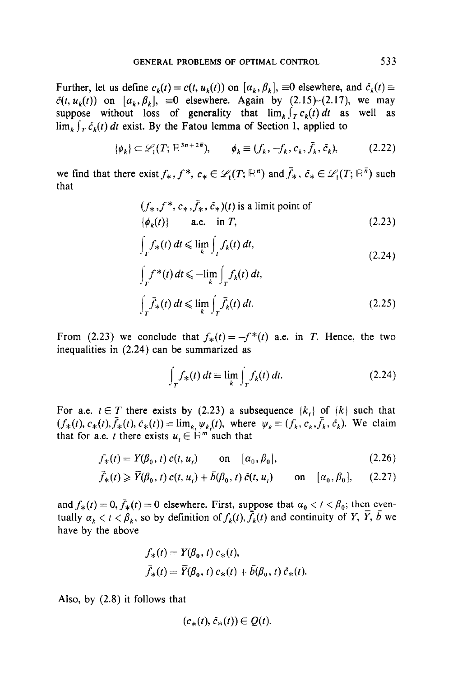Further, let us define  $c_k(t) \equiv c(t, u_k(t))$  on  $[a_k, \beta_k]$ ,  $\equiv 0$  elsewhere, and  $\bar{c}_k(t) \equiv$  $\bar{c}(t, u_k(t))$  on  $[a_k, \beta_k]$ ,  $\equiv 0$  elsewhere. Again by (2.15)-(2.17), we may suppose without loss of generality that  $\lim_{k \to \infty} \int_{0}^{k} c_k(t) dt$  as well as  $\lim_{k \to \infty} \int_{\tau} \tilde{c}_k(t) dt$  exist. By the Fatou lemma of Section 1, applied to

$$
\{\phi_k\} \subset \mathscr{L}_1(T; \mathbb{R}^{3n+2\overline{n}}), \qquad \phi_k \equiv (f_k, -f_k, c_k, \overline{f}_k, \overline{c}_k), \tag{2.22}
$$

we find that there exist  $f_*, f^*, c_* \in \mathcal{L}_1(T; \mathbb{R}^n)$  and  $\bar{f}_*, \bar{c}_* \in \mathcal{L}_1(T; \mathbb{R}^n)$  such that

$$
(f_*, f^*, c_*, \bar{f}_*, \bar{c}_*)(t) \text{ is a limit point of}
$$
  

$$
\{\phi_k(t)\}\qquad \text{a.e. in } T,
$$
 (2.23)

$$
\int_{T} f_{*}(t) dt \leqslant \lim_{k} \int_{T} f_{k}(t) dt,
$$
\n(2.24)

$$
\int_{T} f^{*}(t) dt \leq \lim_{k} \int_{T} f_{k}(t) dt,
$$
\n
$$
\int_{T} \bar{f}_{*}(t) dt \leq \lim_{k} \int_{T} \bar{f}_{k}(t) dt.
$$
\n(2.25)

From (2.23) we conclude that  $f_*(t) = -f^*(t)$  a.e. in T. Hence, the two inequalities in (2.24) can be summarized as

$$
\int_{T} f_{*}(t) dt \equiv \lim_{k} \int_{T} f_{k}(t) dt.
$$
\n(2.24)

For a.e.  $t \in T$  there exists by (2.23) a subsequence  $\{k_{t}\}\$  of  $\{k\}$  such that  $(f_*(t), c_*(t), \bar{f}_*(t), \bar{c}_*(t)) = \lim_k \psi_k(t)$ , where  $\psi_k = (f_k, c_k, \bar{f}_k, \bar{c}_k)$ . We claim that for a.e. t there exists  $u \in \mathbb{R}^m$  such that

$$
f_*(t) = Y(\beta_0, t) c(t, u_t) \qquad \text{on} \quad [a_0, \beta_0], \tag{2.26}
$$

$$
\bar{f}_*(t) \geqslant \bar{Y}(\beta_0, t) c(t, u_t) + \bar{b}(\beta_0, t) \bar{c}(t, u_t) \qquad \text{on} \quad [a_0, \beta_0], \qquad (2.27)
$$

and  $f_*(t) = 0$ ,  $\bar{f}_*(t) = 0$  elsewhere. First, suppose that  $\alpha_0 < t < \beta_0$ ; then eventually  $\alpha_k < t < \beta_k$ , so by definition of  $f_k(t)$ ,  $\bar{f}_k(t)$  and continuity of Y,  $\bar{Y}$ ,  $\bar{b}$  we have by the above

$$
f_*(t) = Y(\beta_0, t) c_*(t),
$$
  

$$
\bar{f}_*(t) = \bar{Y}(\beta_0, t) c_*(t) + \bar{b}(\beta_0, t) \bar{c}_*(t).
$$

Also, by (2.8) it follows that

$$
(c_*(t), c_*(t)) \in Q(t).
$$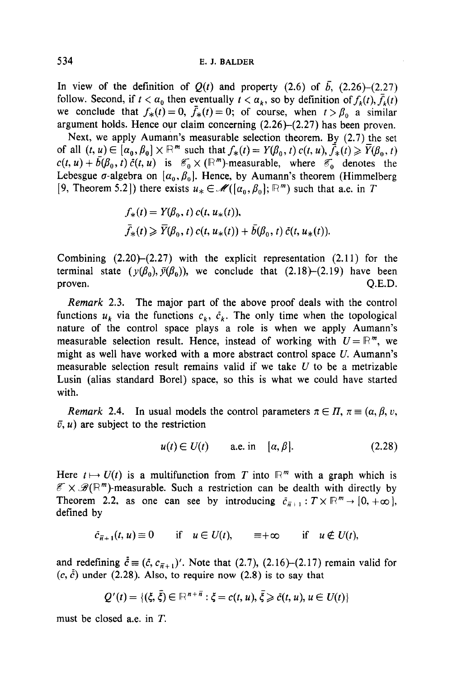## 534 E. J. BALDER

In view of the definition of  $Q(t)$  and property (2.6) of  $\bar{b}$ , (2.26)-(2.27) follow. Second, if  $t < a_0$  then eventually  $t < a_k$ , so by definition of  $f_k(t)$ ,  $\bar{f}_k(t)$ we conclude that  $f_*(t) = 0$ ,  $\bar{f}_*(t) = 0$ ; of course, when  $t > \beta_0$  a similar argument holds. Hence our claim concerning  $(2.26)$ - $(2.27)$  has been proven.

Next, we apply Aumann's measurable selection theorem. By (2.7) the set of all  $(t, u) \in [\alpha_0, \beta_0] \times \mathbb{R}^m$  such that  $f_*(t) = Y(\beta_0, t)$   $c(t, u), \bar{f}_*(t) \geq \bar{Y}(\beta_0, t)$  $c(t, u) + \bar{b}(\beta_0, t) \bar{c}(t, u)$  is  $\mathscr{E}_0 \times (\mathbb{R}^m)$ -measurable, where  $\mathscr{E}_0$  denotes the Lebesgue  $\sigma$ -algebra on  $[\alpha_0, \beta_0]$ . Hence, by Aumann's theorem (Himmelberg [9, Theorem 5.2]) there exists  $u_* \in \mathcal{M}([\alpha_0,\beta_0]; \mathbb{R}^m)$  such that a.e. in T

$$
f_*(t) = Y(\beta_0, t) c(t, u_*(t)),
$$
  
\n
$$
\bar{f}_*(t) \geq \bar{Y}(\beta_0, t) c(t, u_*(t)) + \bar{b}(\beta_0, t) \bar{c}(t, u_*(t)).
$$

Combining  $(2.20)$ – $(2.27)$  with the explicit representation  $(2.11)$  for the terminal state  $(y(\beta_0), \bar{y}(\beta_0))$ , we conclude that (2.18)-(2.19) have been proven. Q.E.D.

Remark 2.3. The major part of the above proof deals with the control functions  $u_k$  via the functions  $c_k$ ,  $\bar{c}_k$ . The only time when the topological nature of the control space plays a role is when we apply Aumann's measurable selection result. Hence, instead of working with  $U = \mathbb{R}^m$ , we might as well have worked with a more abstract control space  $U$ . Aumann's measurable selection result remains valid if we take  $U$  to be a metrizable Lusin (alias standard Borel) space, so this is what we could have started with.

Remark 2.4. In usual models the control parameters  $\pi \in \Pi$ ,  $\pi \equiv (\alpha, \beta, \nu)$ ,  $\bar{v}$ , u) are subject to the restriction

$$
u(t) \in U(t) \qquad \text{a.e. in} \quad [\alpha, \beta]. \tag{2.28}
$$

Here  $t \mapsto U(t)$  is a multifunction from T into  $\mathbb{R}^m$  with a graph which is  $\mathscr{E} \times \mathscr{B}(\mathbb{R}^m)$ -measurable. Such a restriction can be dealth with directly by Theorem 2.2, as one can see by introducing  $\bar{c}_{\bar{n}+1} : T \times \mathbb{R}^m \to [0, +\infty],$ defined by

$$
\bar{c}_{n+1}(t, u) \equiv 0 \quad \text{if} \quad u \in U(t), \quad \equiv +\infty \quad \text{if} \quad u \notin U(t),
$$

and redefining  $\bar{c} \equiv (\bar{c}, c_{\bar{n}+1})'$ . Note that (2.7), (2.16)-(2.17) remain valid for  $(c, \bar{c})$  under (2.28). Also, to require now (2.8) is to say that

$$
Q'(t) = \{(\xi, \overline{\xi}) \in \mathbb{R}^{n+\overline{n}} : \xi = c(t, u), \overline{\xi} \geqslant \overline{c}(t, u), u \in U(t)\}
$$

must be closed a.e. in T.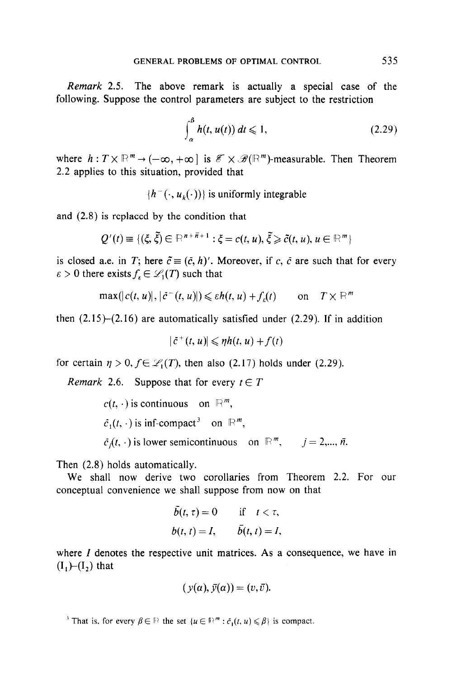Remark 2.5. The above remark is actually a special case of the following. Suppose the control parameters are subject to the restriction

$$
\int_{\alpha}^{\beta} h(t, u(t)) dt \leqslant 1,
$$
\n(2.29)

where  $h: T \times \mathbb{R}^m \to (-\infty, +\infty]$  is  $\mathcal{E} \times \mathcal{B}(\mathbb{R}^m)$ -measurable. Then Theorem 2.2 applies to this situation, provided that

 $\{h^-(\cdot, u_{\nu}(\cdot))\}$  is uniformly integrable

and (2.8) is replaced by the condition that

$$
Q'(t) \equiv \{(\xi, \tilde{\xi}) \in \mathbb{R}^{n+\bar{n}+1} : \xi = c(t, u), \tilde{\xi} \geq \tilde{c}(t, u), u \in \mathbb{R}^m \}
$$

is closed a.e. in T; here  $\tilde{c} \equiv (\tilde{c}, h)'$ . Moreover, if c,  $\tilde{c}$  are such that for every  $\varepsilon > 0$  there exists  $f_{\varepsilon} \in \mathcal{L}_1(T)$  such that

$$
\max(|c(t, u)|, |\tilde{c}^-(t, u)|) \leq \varepsilon h(t, u) + f_{\varepsilon}(t) \qquad \text{on} \quad T \times \mathbb{R}^m
$$

then  $(2.15)-(2.16)$  are automatically satisfied under (2.29). If in addition

$$
|\tilde{c}^+(t,u)| \leqslant \eta h(t,u) + f(t)
$$

for certain  $\eta > 0$ ,  $f \in \mathcal{L}_1(T)$ , then also (2.17) holds under (2.29).

Remark 2.6. Suppose that for every  $t \in T$ 

```
c(t, \cdot) is continuous on \mathbb{R}^m,
\bar{c}_1(t, \cdot) is inf-compact<sup>3</sup> on \mathbb{R}^m,
\bar{c}_i(t, \cdot) is lower semicontinuous on \mathbb{R}^m, j = 2,..., \bar{n}.
```
Then (2.8) holds automatically.

We shall now derive two corollaries from Theorem 2.2. For our conceptual convenience we shall suppose from now on that

$$
\begin{aligned}\n\bar{b}(t,\,\tau) &= 0 & \text{if} \quad t < \tau, \\
b(t,\,t) &= I, & \bar{b}(t,\,t) &= I,\n\end{aligned}
$$

where  $I$  denotes the respective unit matrices. As a consequence, we have in  $(I,)-(I,)$  that

$$
(y(\alpha), \bar{y}(\alpha)) = (v, \bar{v}).
$$

<sup>3</sup> That is, for every  $\beta \in \mathbb{R}$  the set  $\{u \in \mathbb{R}^m : \bar{c}_1(t, u) \leq \beta\}$  is compact.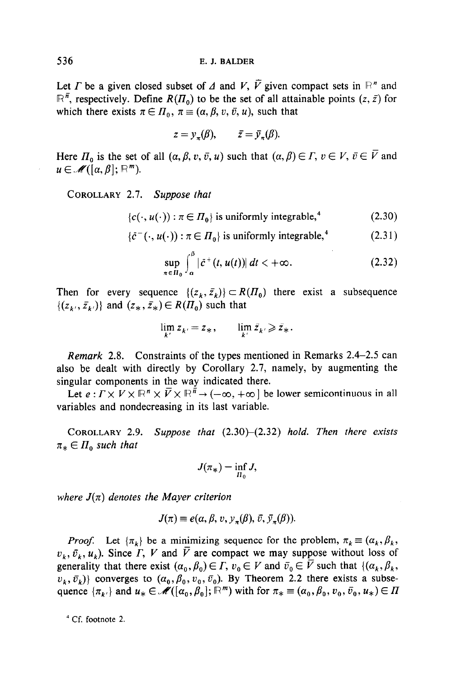Let *I*' be a given closed subset of  $\Delta$  and *V*,  $\overline{V}$  given compact sets in  $\mathbb{R}^n$  and  $\mathbb{R}^{\bar{n}}$ , respectively. Define  $R(\Pi_0)$  to be the set of all attainable points  $(z, \bar{z})$  for which there exists  $\pi \in \Pi_0$ ,  $\pi \equiv (\alpha, \beta, v, \bar{v}, u)$ , such that

$$
z = y_{\pi}(\beta), \qquad \bar{z} = \bar{y}_{\pi}(\beta).
$$

Here  $\Pi_0$  is the set of all  $(\alpha, \beta, v, \bar{v}, u)$  such that  $(\alpha, \beta) \in \Gamma$ ,  $v \in V$ ,  $\bar{v} \in \bar{V}$  and  $u \in \mathcal{M}([\alpha,\beta]; \mathbb{R}^m)$ .

COROLLARY 2.1. Suppose that

$$
\{c(\cdot, u(\cdot)) : \pi \in \Pi_0\} \text{ is uniformly integrable,}^4 \tag{2.30}
$$

 ${\lbrace \bar{c}^-(\cdot, u(\cdot)) : \pi \in \Pi_0 \rbrace}$  is uniformly integrable,<sup>4</sup>  $(2.31)$ 

$$
\sup_{\pi \in \Pi_0} \int_a^{\beta} |\tilde{c}^+(t, u(t))| \, dt < +\infty. \tag{2.32}
$$

Then for every sequence  $\{(z_k, \bar{z}_k)\}\subset R(\bar{H}_0)$  there exist a subsequence  $\{(z_{k},\bar{z}_{k})\}\$ and  $(z_*,\bar{z}_*)\in R(\Pi_0)$  such that

$$
\lim_{k'} z_{k'} = z_* , \qquad \lim_{k'} \bar{z}_{k'} \geqslant \bar{z}_* .
$$

Remark 2.8. Constraints of the types mentioned in Remarks 2.4-2.5 can also be dealt with directly by Corollary 2.7, namely, by augmenting the singular components in the way indicated there.

Let  $e: \Gamma \times V \times \mathbb{R}^n \times \overline{V} \times \mathbb{R}^n \to (-\infty, +\infty]$  be lower semicontinuous in all variables and nondecreasing in its last variable.

COROLLARY 2.9. Suppose that  $(2.30)$ - $(2.32)$  hold. Then there exists  $\pi_* \in \Pi_0$  such that

$$
J(\pi_*) = \inf_{\Pi_0} J,
$$

where  $J(\pi)$  denotes the Mayer criterion

$$
J(\pi) \equiv e(\alpha, \beta, v, y_{\pi}(\beta), \bar{v}, \bar{y}_{\pi}(\beta)).
$$

*Proof.* Let  $\{\pi_k\}$  be a minimizing sequence for the problem,  $\pi_k \equiv (\alpha_k, \beta_k, \pi_k)$  $v_k$ ,  $\bar{v}_k$ ,  $u_k$ ). Since  $\bar{\Gamma}$ ,  $V$  and  $\bar{V}$  are compact we may suppose without loss of generality that there exist  $(\alpha_0, \beta_0) \in \Gamma$ ,  $v_0 \in V$  and  $\bar{v}_0 \in \overline{V}$  such that  $\{(\alpha_k, \beta_k, \beta_k)\}$  $\{v_k, \bar{v}_k\}$  converges to  $(\alpha_0, \beta_0, v_0, \bar{v}_0)$ . By Theorem 2.2 there exists a subsequence  $\{\pi_{k'}\}$  and  $u_* \in \mathcal{M}([\alpha_0,\beta_0];\mathbb{R}^m)$  with for  $\pi_* \equiv (\alpha_0,\beta_0,v_0,\bar{v}_0,u_*)\in \Pi$ 

4 Cf. footnote 2.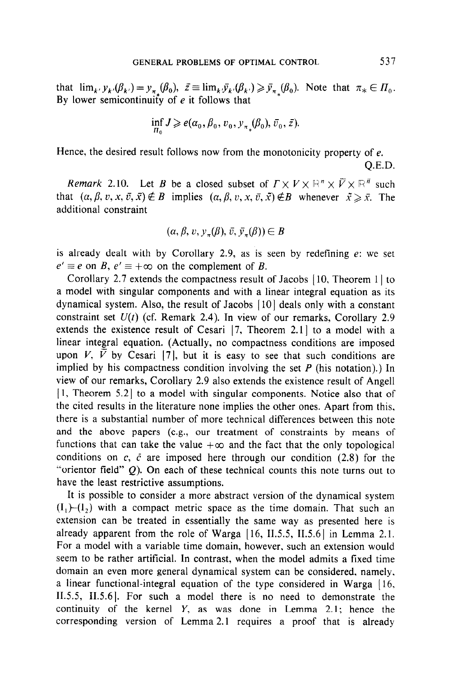that  $\lim_{k \to \infty} y_{k'}(\beta_{k'}) = y_{\pi}(\beta_0), \ \ \bar{z} \equiv \lim_{k \to \infty} \bar{y}_{k'}(\beta_{k'}) \geq \bar{y}_{\pi}(\beta_0).$  Note that  $\pi_* \in \Pi_0$ . By lower semicontinuity of  $e$  it follows that

$$
\inf_{\Pi_0} J \geqslant e(\alpha_0, \beta_0, v_0, y_{\pi_*}(\beta_0), \bar{v}_0, \bar{z}).
$$

Hence, the desired result follows now from the monotonicity property of e. Q.E.D.

Remark 2.10. Let B be a closed subset of  $\Gamma \times V \times \mathbb{R}^n \times \overline{V} \times \mathbb{R}^n$  such that  $(\alpha, \beta, v, x, \overline{v}, \overline{x}) \notin B$  implies  $(\alpha, \beta, v, x, \overline{v}, \overline{x}) \notin B$  whenever  $\overline{x} \geq \overline{x}$ . The additional constraint

$$
(\alpha, \beta, v, y_{\pi}(\beta), \bar{v}, \bar{y}_{\pi}(\beta)) \in B
$$

is already dealt with by Corollary 2.9, as is seen by redefining e: we set  $e' \equiv e$  on B,  $e' \equiv +\infty$  on the complement of B.

Corollary 2.7 extends the compactness result of Jacobs [10, Theorem 1] to a model with singular components and with a linear integral equation as its dynamical system. Also, the result of Jacobs [IO] deals only with a constant constraint set  $U(t)$  (cf. Remark 2.4). In view of our remarks, Corollary 2.9 extends the existence result of Cesari  $[7,$  Theorem 2.1 $]$  to a model with a linear integral equation. (Actually, no compactness conditions are imposed upon V, V by Cesari [7], but it is easy to see that such conditions are implied by his compactness condition involving the set  $P$  (his notation).) In view of our remarks, Corollary 2.9 also extends the existence result of Angel1  $[1,$  Theorem 5.2 to a model with singular components. Notice also that of the cited results in the literature none implies the other ones. Apart from this. there is a substantial number of more technical differences between this note and the above papers (e.g., our treatment of constraints by means of functions that can take the value  $+\infty$  and the fact that the only topological conditions on  $c$ ,  $\bar{c}$  are imposed here through our condition (2.8) for the "orientor field"  $Q$ ). On each of these technical counts this note turns out to have the least restrictive assumptions.

It is possible to consider a more abstract version of the dynamical system  $(I_1)$  with a compact metric space as the time domain. That such an extension can be treated in essentially the same way as presented here is already apparent from the role of Warga  $[16, II.5.5, II.5.6]$  in Lemma 2.1. For a model with a variable time domain, however, such an extension would seem to be rather artificial. In contrast, when the model admits a fixed time domain an even more general dynamical system can be considered, namely. a linear functional-integral equation of the type considered in Warga [ 16. II.5.5, II.5.6]. For such a model there is no need to demonstrate the continuity of the kernel  $Y$ , as was done in Lemma 2.1; hence the corresponding version of Lemma 2.1 requires a proof that is already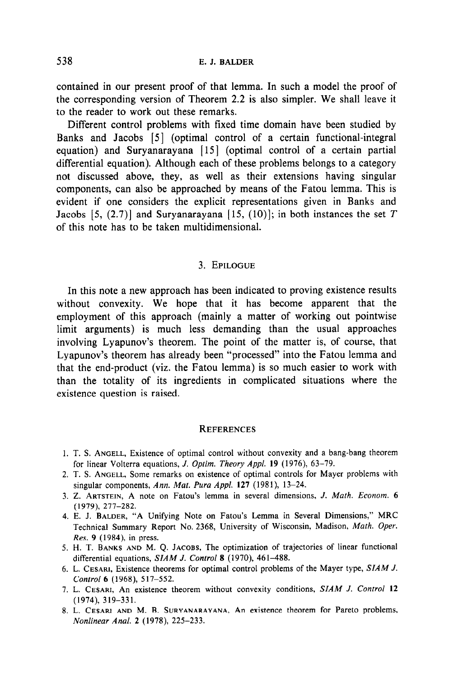538 E.J.BALDER

contained in our present proof of that lemma. In such a model the proof of the corresponding version of Theorem 2.2 is also simpler. We shall leave it to the reader to work out these remarks.

Different control problems with fixed time domain have been studied by Banks and Jacobs [5] (optimal control of a certain functional-integral equation) and Suryanarayana [15] (optimal control of a certain partial differential equation). Although each of these problems belongs to a category not discussed above, they, as well as their extensions having singular components, can also be approached by means of the Fatou lemma. This is evident if one considers the explicit representations given in Banks and Jacobs [5, (2.7)] and Suryanarayana [15, (10)]; in both instances the set T of this note has to be taken multidimensional.

## 3. EPILOGUE

In this note a new approach has been indicated to proving existence results without convexity. We hope that it has become apparent that the employment of this approach (mainly a matter of working out pointwise limit arguments) is much less demanding than the usual approaches involving Lyapunov's theorem. The point of the matter is, of course, that Lyapunov's theorem has already been "processed" into the Fatou lemma and that the end-product (viz. the Fatou lemma) is so much easier to work with than the totality of its ingredients in complicated situations where the existence question is raised.

### **REFERENCES**

- 1. T. S. ANGELL, Existence of optimal control without convexity and a bang-bang theorem for linear Volterra equations, J. Optim. Theory Appl. 19 (1976), 63-79.
- 2. T. S. ANGELL, Some remarks on existence of optimal controls for Mayer problems with singular components, Ann. Mat. Pura Appl. 127 (1981), 13-24.
- 3. 2. ARTSTEIN, A note on Fatou's lemma in several dimensions, J. Math. Econom. 6 (1979), 277-282.
- 4. E. J. BALDER, "A Unifying Note on Fatou's Lemma in Several Dimensions," MRC Technical Summary Report No. 2368, University of Wisconsin, Madison, Math. Oper. Res. 9 (1984), in press.
- 5. H. T. BANKS AND M. Q. JACOBS, The optimization of trajectories of linear functional differential equations, SIAM J. Control 8 (1970), 461-488.
- 6. L. CESARI, Existence theorems for optimal control problems of the Mayer type, SIAM J. Control 6 (1968), 517-552.
- 7. L. CESARI, An existence theorem without convexity conditions, SIAM J. Control 12 (1974), 319-331.
- 8. L. CESARI AND M. B. SURYANARAYANA, An existence theorem for Pareto problems, Nonlinear Anal. 2 (1978), 225-233.